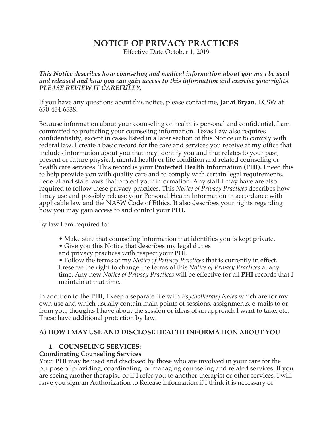# **NOTICE OF PRIVACY PRACTICES**

Effective Date October 1, 2019

*This Notice describes how counseling and medical information about you may be used and released and how you can gain access to this information and exercise your rights. PLEASE REVIEW IT CAREFULLY.* 

If you have any questions about this notice, please contact me, **Janai Bryan**, LCSW at 650-454-6538.

Because information about your counseling or health is personal and confidential, I am committed to protecting your counseling information. Texas Law also requires confidentiality, except in cases listed in a later section of this Notice or to comply with federal law. I create a basic record for the care and services you receive at my office that includes information about you that may identify you and that relates to your past, present or future physical, mental health or life condition and related counseling or health care services. This record is your **Protected Health Information (PHI).** I need this to help provide you with quality care and to comply with certain legal requirements. Federal and state laws that protect your information. Any staff I may have are also required to follow these privacy practices. This *Notice of Privacy Practices* describes how I may use and possibly release your Personal Health Information in accordance with applicable law and the NASW Code of Ethics. It also describes your rights regarding how you may gain access to and control your **PHI.** 

By law I am required to:

- Make sure that counseling information that identifies you is kept private.
- Give you this Notice that describes my legal duties
- and privacy practices with respect your PHI.

• Follow the terms of my *Notice of Privacy Practices* that is currently in effect. I reserve the right to change the terms of this *Notice of Privacy Practices* at any time. Any new *Notice of Privacy Practices* will be effective for all **PHI** records that I maintain at that time.

In addition to the **PHI,** I keep a separate file with *Psychotherapy Notes* which are for my own use and which usually contain main points of sessions, assignments, e-mails to or from you, thoughts I have about the session or ideas of an approach I want to take, etc. These have additional protection by law.

## **A) HOW I MAY USE AND DISCLOSE HEALTH INFORMATION ABOUT YOU**

## **1. COUNSELING SERVICES:**

#### **Coordinating Counseling Services**

Your PHI may be used and disclosed by those who are involved in your care for the purpose of providing, coordinating, or managing counseling and related services. If you are seeing another therapist, or if I refer you to another therapist or other services, I will have you sign an Authorization to Release Information if I think it is necessary or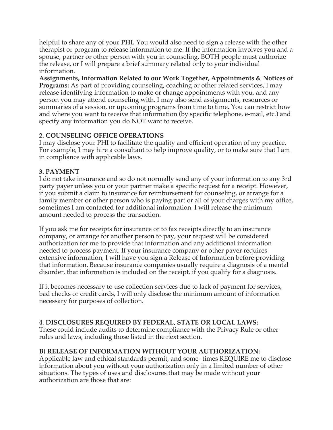helpful to share any of your **PHI.** You would also need to sign a release with the other therapist or program to release information to me. If the information involves you and a spouse, partner or other person with you in counseling, BOTH people must authorize the release, or I will prepare a brief summary related only to your individual information.

**Assignments, Information Related to our Work Together, Appointments & Notices of Programs:** As part of providing counseling, coaching or other related services, I may release identifying information to make or change appointments with you, and any person you may attend counseling with. I may also send assignments, resources or summaries of a session, or upcoming programs from time to time. You can restrict how and where you want to receive that information (by specific telephone, e-mail, etc.) and specify any information you do NOT want to receive.

## **2. COUNSELING OFFICE OPERATIONS**

I may disclose your PHI to facilitate the quality and efficient operation of my practice. For example, I may hire a consultant to help improve quality, or to make sure that I am in compliance with applicable laws.

## **3. PAYMENT**

I do not take insurance and so do not normally send any of your information to any 3rd party payer unless you or your partner make a specific request for a receipt. However, if you submit a claim to insurance for reimbursement for counseling, or arrange for a family member or other person who is paying part or all of your charges with my office, sometimes I am contacted for additional information. I will release the minimum amount needed to process the transaction.

If you ask me for receipts for insurance or to fax receipts directly to an insurance company, or arrange for another person to pay, your request will be considered authorization for me to provide that information and any additional information needed to process payment. If your insurance company or other payer requires extensive information, I will have you sign a Release of Information before providing that information. Because insurance companies usually require a diagnosis of a mental disorder, that information is included on the receipt, if you qualify for a diagnosis.

If it becomes necessary to use collection services due to lack of payment for services, bad checks or credit cards, I will only disclose the minimum amount of information necessary for purposes of collection.

# **4. DISCLOSURES REQUIRED BY FEDERAL, STATE OR LOCAL LAWS:**

These could include audits to determine compliance with the Privacy Rule or other rules and laws, including those listed in the next section.

# **B) RELEASE OF INFORMATION WITHOUT YOUR AUTHORIZATION:**

Applicable law and ethical standards permit, and some- times REQUIRE me to disclose information about you without your authorization only in a limited number of other situations. The types of uses and disclosures that may be made without your authorization are those that are: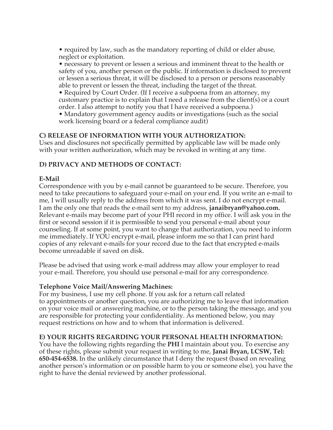• required by law, such as the mandatory reporting of child or elder abuse, neglect or exploitation.

• necessary to prevent or lessen a serious and imminent threat to the health or safety of you, another person or the public. If information is disclosed to prevent or lessen a serious threat, it will be disclosed to a person or persons reasonably able to prevent or lessen the threat, including the target of the threat.

• Required by Court Order. (If I receive a subpoena from an attorney, my customary practice is to explain that I need a release from the client(s) or a court order. I also attempt to notify you that I have received a subpoena.)

• Mandatory government agency audits or investigations (such as the social work licensing board or a federal compliance audit)

#### **C) RELEASE OF INFORMATION WITH YOUR AUTHORIZATION:**

Uses and disclosures not specifically permitted by applicable law will be made only with your written authorization, which may be revoked in writing at any time.

## **D) PRIVACY AND METHODS OF CONTACT:**

## **E-Mail**

Correspondence with you by e-mail cannot be guaranteed to be secure. Therefore, you need to take precautions to safeguard your e-mail on your end. If you write an e-mail to me, I will usually reply to the address from which it was sent. I do not encrypt e-mail. I am the only one that reads the e-mail sent to my address, **janaibryan@yahoo.com.**  Relevant e-mails may become part of your PHI record in my office. I will ask you in the first or second session if it is permissible to send you personal e-mail about your counseling. If at some point, you want to change that authorization, you need to inform me immediately. If YOU encrypt e-mail, please inform me so that I can print hard copies of any relevant e-mails for your record due to the fact that encrypted e-mails become unreadable if saved on disk.

Please be advised that using work e-mail address may allow your employer to read your e-mail. Therefore, you should use personal e-mail for any correspondence.

#### **Telephone Voice Mail/Answering Machines:**

For my business, I use my cell phone. If you ask for a return call related to appointments or another question, you are authorizing me to leave that information on your voice mail or answering machine, or to the person taking the message, and you are responsible for protecting your confidentiality. As mentioned below, you may request restrictions on how and to whom that information is delivered.

#### **E) YOUR RIGHTS REGARDING YOUR PERSONAL HEALTH INFORMATION:**

You have the following rights regarding the **PHI** I maintain about you. To exercise any of these rights, please submit your request in writing to me, **Janai Bryan, LCSW, Tel: 650-454-6538.** In the unlikely circumstance that I deny the request (based on revealing another person's information or on possible harm to you or someone else), you have the right to have the denial reviewed by another professional.